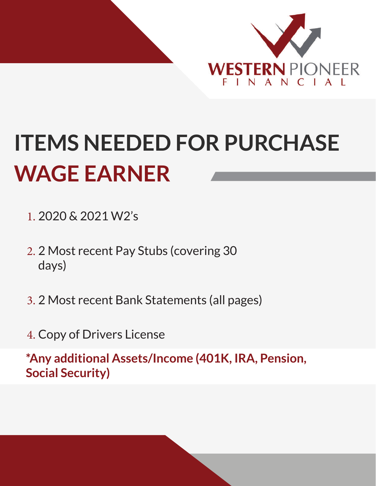

## **ITEMS NEEDED FOR PURCHASE WAGE EARNER**

- 1. 2020 & 2021 W2's
- 2. 2 Most recent Pay Stubs (covering 30 days)
- 3. 2 Most recent Bank Statements (all pages)
- 4. Copy of Drivers License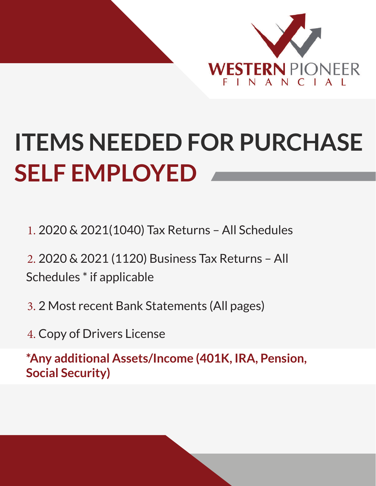

## **ITEMS NEEDED FOR PURCHASE SELF EMPLOYED**

- 1. 2020 & 2021(1040) Tax Returns All Schedules
- 2. 2020 & 2021 (1120) Business Tax Returns All Schedules \* if applicable
- 3. 2 Most recent Bank Statements (All pages)
- 4. Copy of Drivers License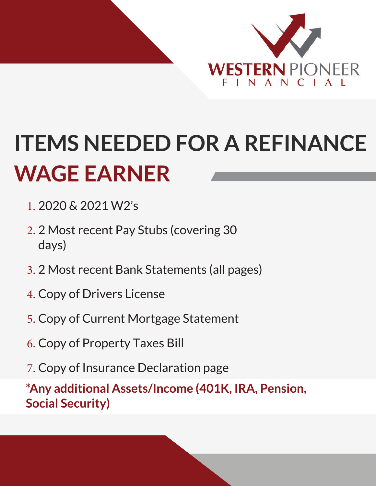

## **ITEMS NEEDED FOR A REFINANCE WAGE EARNER**

- 1. 2020 & 2021 W2's
- 2. 2 Most recent Pay Stubs (covering 30 days)
- 3. 2 Most recent Bank Statements (all pages)
- 4. Copy of Drivers License
- 5. Copy of Current Mortgage Statement
- 6. Copy of Property Taxes Bill
- 7. Copy of Insurance Declaration page